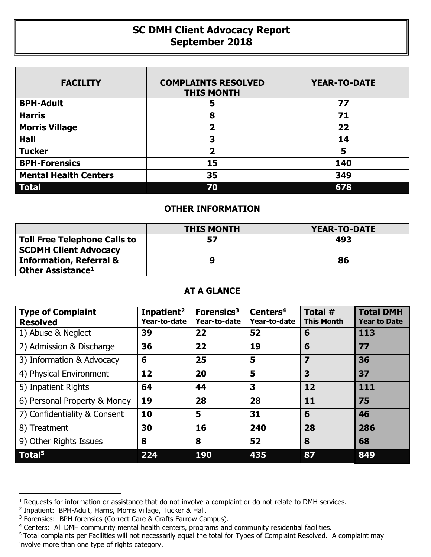## **SC DMH Client Advocacy Report September 2018**

| <b>FACILITY</b>              | <b>COMPLAINTS RESOLVED</b><br><b>THIS MONTH</b> | <b>YEAR-TO-DATE</b> |
|------------------------------|-------------------------------------------------|---------------------|
| <b>BPH-Adult</b>             | 5                                               | 77                  |
| <b>Harris</b>                | 8                                               | 71                  |
| <b>Morris Village</b>        | 2                                               | 22                  |
| <b>Hall</b>                  | 3                                               | 14                  |
| <b>Tucker</b>                | 2                                               | 5                   |
| <b>BPH-Forensics</b>         | 15                                              | 140                 |
| <b>Mental Health Centers</b> | 35                                              | 349                 |
| <b>Total</b>                 | 70                                              | 678                 |

## **OTHER INFORMATION**

|                                     | <b>THIS MONTH</b> | YEAR-TO-DATE |
|-------------------------------------|-------------------|--------------|
| <b>Toll Free Telephone Calls to</b> | 57                | 493          |
| <b>SCDMH Client Advocacy</b>        |                   |              |
| <b>Information, Referral &amp;</b>  |                   | 86           |
| Other Assistance <sup>1</sup>       |                   |              |

## **AT A GLANCE**

| <b>Type of Complaint</b><br><b>Resolved</b> | Inpatient <sup>2</sup><br>Year-to-date | Forensics <sup>3</sup><br>Year-to-date | Centers <sup>4</sup><br>Year-to-date | Total #<br><b>This Month</b> | <b>Total DMH</b><br><b>Year to Date</b> |
|---------------------------------------------|----------------------------------------|----------------------------------------|--------------------------------------|------------------------------|-----------------------------------------|
| 1) Abuse & Neglect                          | 39                                     | 22                                     | 52                                   | 6                            | 113                                     |
| 2) Admission & Discharge                    | 36                                     | 22                                     | 19                                   | 6                            | 77                                      |
| 3) Information & Advocacy                   | 6                                      | 25                                     | 5                                    | $\overline{z}$               | 36                                      |
| 4) Physical Environment                     | 12                                     | 20                                     | 5                                    | 3                            | 37                                      |
| 5) Inpatient Rights                         | 64                                     | 44                                     | 3                                    | 12                           | 111                                     |
| 6) Personal Property & Money                | 19                                     | 28                                     | 28                                   | 11                           | 75                                      |
| 7) Confidentiality & Consent                | 10                                     | 5                                      | 31                                   | 6                            | 46                                      |
| 8) Treatment                                | 30                                     | 16                                     | 240                                  | 28                           | 286                                     |
| 9) Other Rights Issues                      | 8                                      | 8                                      | 52                                   | 8                            | 68                                      |
| Total <sup>5</sup>                          | 224                                    | 190                                    | 435                                  | 87                           | 849                                     |

 $\overline{a}$ 

<sup>&</sup>lt;sup>1</sup> Requests for information or assistance that do not involve a complaint or do not relate to DMH services.

<sup>2</sup> Inpatient: BPH-Adult, Harris, Morris Village, Tucker & Hall.

<sup>&</sup>lt;sup>3</sup> Forensics: BPH-forensics (Correct Care & Crafts Farrow Campus).

<sup>&</sup>lt;sup>4</sup> Centers: All DMH community mental health centers, programs and community residential facilities.

<sup>&</sup>lt;sup>5</sup> Total complaints per Facilities will not necessarily equal the total for Types of Complaint Resolved. A complaint may involve more than one type of rights category.